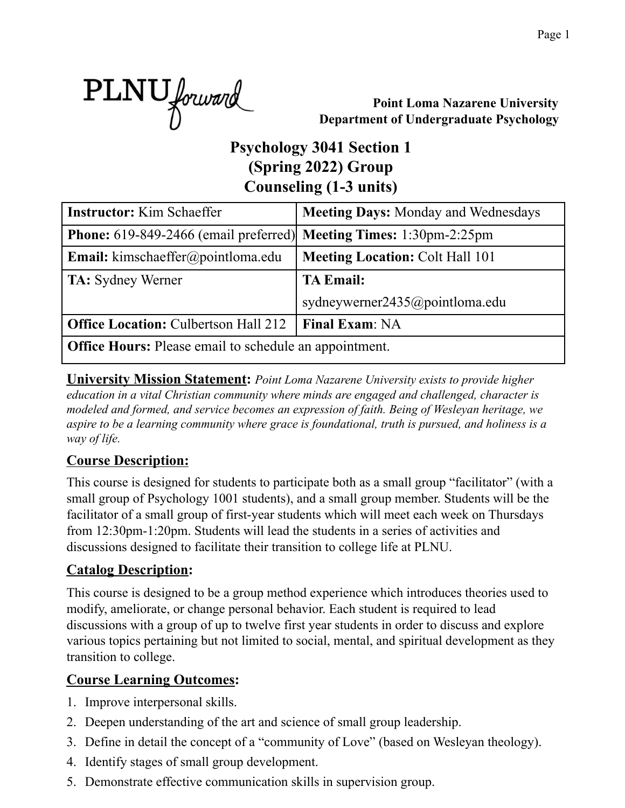

**Point Loma Nazarene University Department of Undergraduate Psychology**

# **Psychology 3041 Section 1 (Spring 2022) Group Counseling (1-3 units)**

| <b>Instructor:</b> Kim Schaeffer                                                 | <b>Meeting Days: Monday and Wednesdays</b> |  |  |  |  |  |  |
|----------------------------------------------------------------------------------|--------------------------------------------|--|--|--|--|--|--|
| <b>Phone:</b> 619-849-2466 (email preferred) <b>Meeting Times:</b> 1:30pm-2:25pm |                                            |  |  |  |  |  |  |
| <b>Email:</b> kimschaeffer@pointloma.edu                                         | <b>Meeting Location: Colt Hall 101</b>     |  |  |  |  |  |  |
| <b>TA:</b> Sydney Werner                                                         | <b>TA Email:</b>                           |  |  |  |  |  |  |
|                                                                                  | sydneywerner2435@pointloma.edu             |  |  |  |  |  |  |
| <b>Office Location: Culbertson Hall 212</b>                                      | <b>Final Exam: NA</b>                      |  |  |  |  |  |  |
| <b>Office Hours:</b> Please email to schedule an appointment.                    |                                            |  |  |  |  |  |  |

**University Mission Statement:** *Point Loma Nazarene University exists to provide higher education in a vital Christian community where minds are engaged and challenged, character is modeled and formed, and service becomes an expression of faith. Being of Wesleyan heritage, we aspire to be a learning community where grace is foundational, truth is pursued, and holiness is a way of life.*

### **Course Description:**

This course is designed for students to participate both as a small group "facilitator" (with a small group of Psychology 1001 students), and a small group member. Students will be the facilitator of a small group of first-year students which will meet each week on Thursdays from 12:30pm-1:20pm. Students will lead the students in a series of activities and discussions designed to facilitate their transition to college life at PLNU.

#### **Catalog Description:**

This course is designed to be a group method experience which introduces theories used to modify, ameliorate, or change personal behavior. Each student is required to lead discussions with a group of up to twelve first year students in order to discuss and explore various topics pertaining but not limited to social, mental, and spiritual development as they transition to college.

## **Course Learning Outcomes:**

- 1. Improve interpersonal skills.
- 2. Deepen understanding of the art and science of small group leadership.
- 3. Define in detail the concept of a "community of Love" (based on Wesleyan theology).
- 4. Identify stages of small group development.
- 5. Demonstrate effective communication skills in supervision group.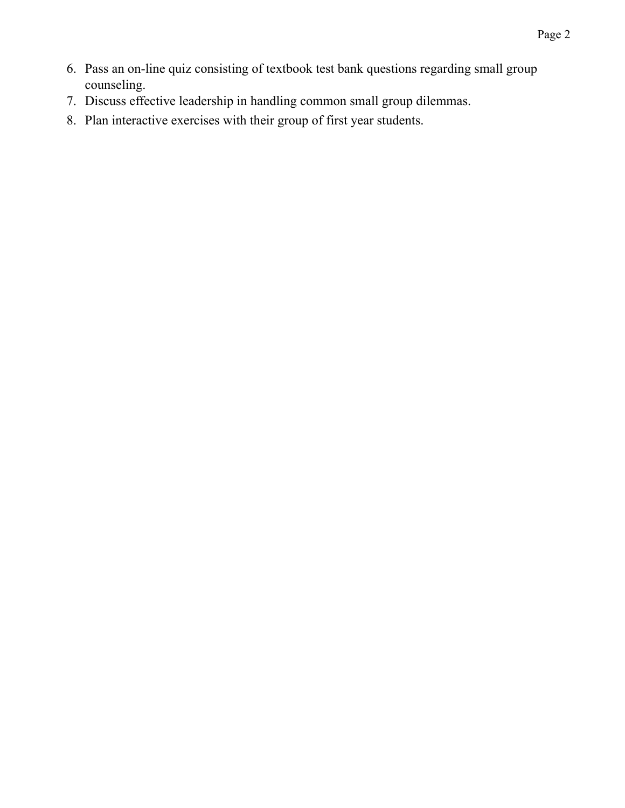- 6. Pass an on-line quiz consisting of textbook test bank questions regarding small group counseling.
- 7. Discuss effective leadership in handling common small group dilemmas.
- 8. Plan interactive exercises with their group of first year students.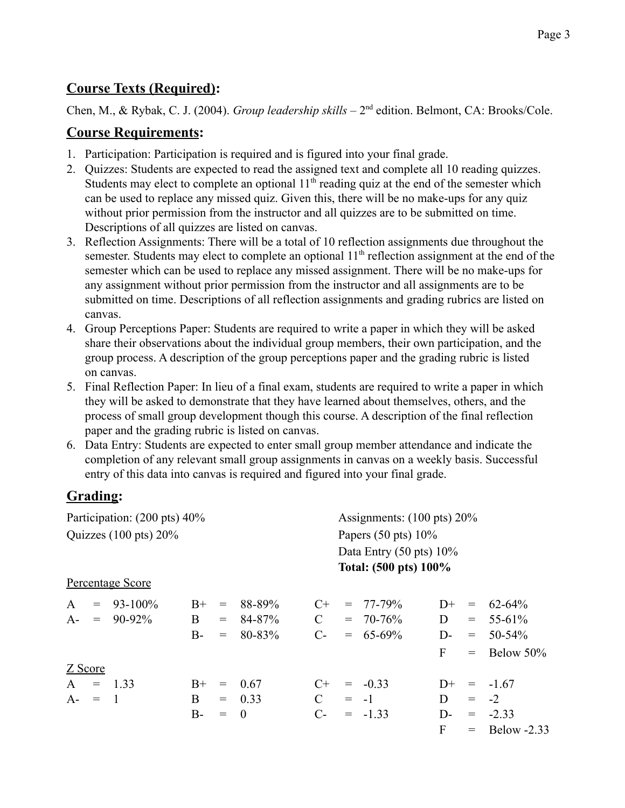#### **Course Texts (Required):**

Chen, M., & Rybak, C. J. (2004). *Group leadership skills* – 2<sup>nd</sup> edition. Belmont, CA: Brooks/Cole.

#### **Course Requirements:**

- 1. Participation: Participation is required and is figured into your final grade.
- 2. Quizzes: Students are expected to read the assigned text and complete all 10 reading quizzes. Students may elect to complete an optional  $11<sup>th</sup>$  reading quiz at the end of the semester which can be used to replace any missed quiz. Given this, there will be no make-ups for any quiz without prior permission from the instructor and all quizzes are to be submitted on time. Descriptions of all quizzes are listed on canvas.
- 3. Reflection Assignments: There will be a total of 10 reflection assignments due throughout the semester. Students may elect to complete an optional 11<sup>th</sup> reflection assignment at the end of the semester which can be used to replace any missed assignment. There will be no make-ups for any assignment without prior permission from the instructor and all assignments are to be submitted on time. Descriptions of all reflection assignments and grading rubrics are listed on canvas.
- 4. Group Perceptions Paper: Students are required to write a paper in which they will be asked share their observations about the individual group members, their own participation, and the group process. A description of the group perceptions paper and the grading rubric is listed on canvas.
- 5. Final Reflection Paper: In lieu of a final exam, students are required to write a paper in which they will be asked to demonstrate that they have learned about themselves, others, and the process of small group development though this course. A description of the final reflection paper and the grading rubric is listed on canvas.
- 6. Data Entry: Students are expected to enter small group member attendance and indicate the completion of any relevant small group assignments in canvas on a weekly basis. Successful entry of this data into canvas is required and figured into your final grade.

## **Grading:**

| Participation: (200 pts) 40%     |     |                         |      |                                              |            | Assignments: $(100 \text{ pts}) 20\%$ |                                                             |               |       |                                              |                 |
|----------------------------------|-----|-------------------------|------|----------------------------------------------|------------|---------------------------------------|-------------------------------------------------------------|---------------|-------|----------------------------------------------|-----------------|
| Quizzes $(100 \text{ pts}) 20\%$ |     |                         |      |                                              |            | Papers $(50 \text{ pts}) 10\%$        |                                                             |               |       |                                              |                 |
|                                  |     |                         |      |                                              |            |                                       | Data Entry $(50 \text{ pts}) 10\%$<br>Total: (500 pts) 100% |               |       |                                              |                 |
|                                  |     | <b>Percentage Score</b> |      |                                              |            |                                       |                                                             |               |       |                                              |                 |
| A                                | $=$ | $93 - 100\%$            | $B+$ | $\qquad \qquad =$                            | 88-89%     | $C+$                                  |                                                             | $= 77 - 79\%$ | $D+$  | $\displaystyle \qquad \qquad =\qquad \qquad$ | $62 - 64\%$     |
| $A-$                             | $=$ | 90-92%                  | B    | $=$                                          | $84 - 87%$ | $\mathcal{C}$                         |                                                             | $= 70 - 76\%$ | D     | $=$ $-$                                      | $55 - 61\%$     |
|                                  |     |                         | $B-$ | $\!\!\!=\!\!\!$                              | 80-83%     | $C-$                                  |                                                             | $= 65-69\%$   | $D$ - | $=$                                          | $50 - 54\%$     |
|                                  |     |                         |      |                                              |            |                                       |                                                             |               | F     | $=$                                          | Below 50%       |
| Z Score                          |     |                         |      |                                              |            |                                       |                                                             |               |       |                                              |                 |
| $\mathbf{A}$                     |     | $=$ 1.33                | $B+$ | $\displaystyle \qquad \qquad =\qquad \qquad$ | 0.67       | $C+$                                  |                                                             | $= -0.33$     | $D+$  | $=$                                          | $-1.67$         |
| $A - = 1$                        |     |                         | B    |                                              | $= 0.33$   | $\mathcal{C}$                         |                                                             | $= -1$        | D.    |                                              | $= -2$          |
|                                  |     |                         | $B-$ | $\!\!\!=\!\!\!$                              | $\theta$   | $C-$                                  |                                                             | $= -1.33$     | $D$ - |                                              | $= -2.33$       |
|                                  |     |                         |      |                                              |            |                                       |                                                             |               | F     |                                              | $=$ Below -2.33 |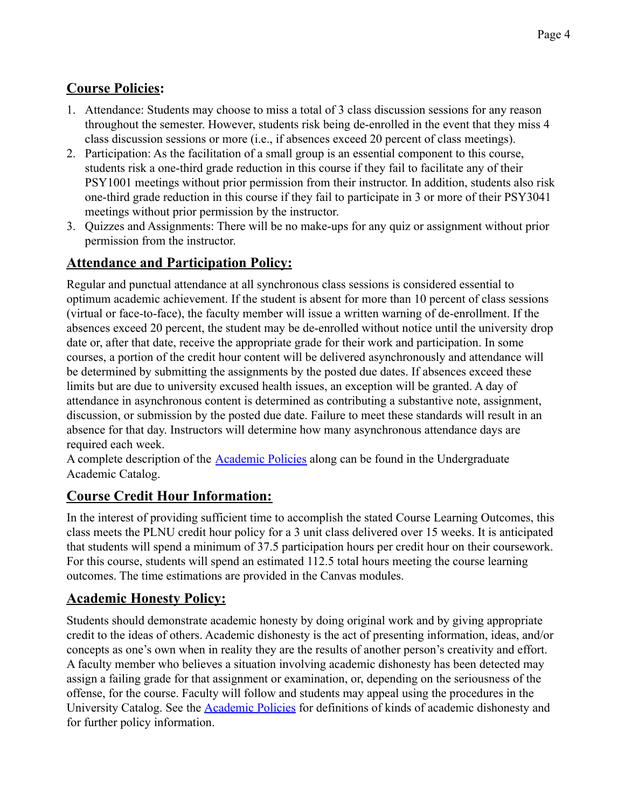## **Course Policies:**

- 1. Attendance: Students may choose to miss a total of 3 class discussion sessions for any reason throughout the semester. However, students risk being de-enrolled in the event that they miss 4 class discussion sessions or more (i.e., if absences exceed 20 percent of class meetings).
- 2. Participation: As the facilitation of a small group is an essential component to this course, students risk a one-third grade reduction in this course if they fail to facilitate any of their PSY1001 meetings without prior permission from their instructor. In addition, students also risk one-third grade reduction in this course if they fail to participate in 3 or more of their PSY3041 meetings without prior permission by the instructor.
- 3. Quizzes and Assignments: There will be no make-ups for any quiz or assignment without prior permission from the instructor.

## **Attendance and Participation Policy:**

Regular and punctual attendance at all synchronous class sessions is considered essential to optimum academic achievement. If the student is absent for more than 10 percent of class sessions (virtual or face-to-face), the faculty member will issue a written warning of de-enrollment. If the absences exceed 20 percent, the student may be de-enrolled without notice until the university drop date or, after that date, receive the appropriate grade for their work and participation. In some courses, a portion of the credit hour content will be delivered asynchronously and attendance will be determined by submitting the assignments by the posted due dates. If absences exceed these limits but are due to university excused health issues, an exception will be granted. A day of attendance in asynchronous content is determined as contributing a substantive note, assignment, discussion, or submission by the posted due date. Failure to meet these standards will result in an absence for that day. Instructors will determine how many asynchronous attendance days are required each week.

A complete description of the **Academic Policies** along can be found in the Undergraduate Academic Catalog.

### **Course Credit Hour Information:**

In the interest of providing sufficient time to accomplish the stated Course Learning Outcomes, this class meets the PLNU credit hour policy for a 3 unit class delivered over 15 weeks. It is anticipated that students will spend a minimum of 37.5 participation hours per credit hour on their coursework. For this course, students will spend an estimated 112.5 total hours meeting the course learning outcomes. The time estimations are provided in the Canvas modules.

### **Academic Honesty Policy:**

Students should demonstrate academic honesty by doing original work and by giving appropriate credit to the ideas of others. Academic dishonesty is the act of presenting information, ideas, and/or concepts as one's own when in reality they are the results of another person's creativity and effort. A faculty member who believes a situation involving academic dishonesty has been detected may assign a failing grade for that assignment or examination, or, depending on the seriousness of the offense, for the course. Faculty will follow and students may appeal using the procedures in the University Catalog. See the Academic Policies for definitions of kinds of academic dishonesty and for further policy information.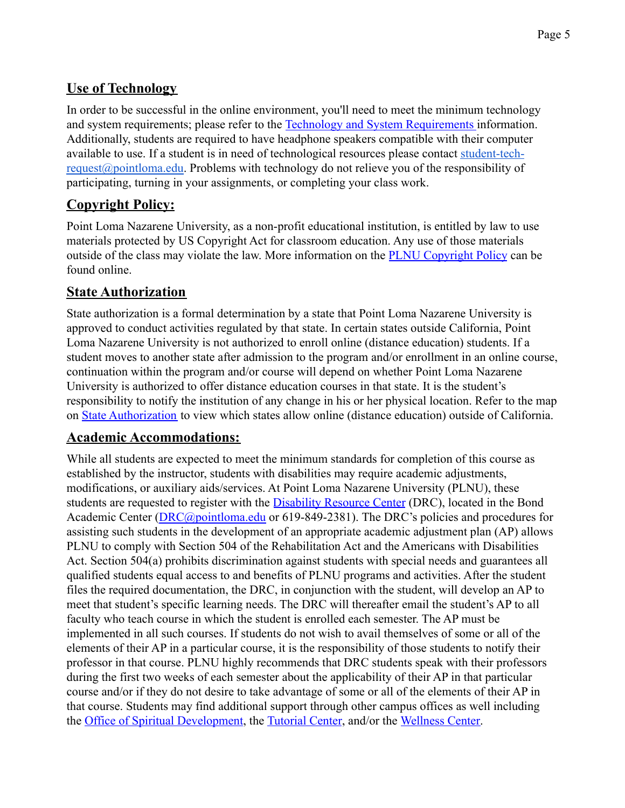### **Use of Technology**

In order to be successful in the online environment, you'll need to meet the minimum technology and system requirements; please refer to the Technology and System Requirements information. Additionally, students are required to have headphone speakers compatible with their computer available to use. If a student is in need of technological resources please contact student-tech[request@pointloma.edu.](mailto:request@pointloma.edu) Problems with technology do not relieve you of the responsibility of participating, turning in your assignments, or completing your class work.

## **Copyright Policy:**

Point Loma Nazarene University, as a non-profit educational institution, is entitled by law to use materials protected by US Copyright Act for classroom education. Any use of those materials outside of the class may violate the law. More information on the PLNU Copyright Policy can be found online.

### **State Authorization**

State authorization is a formal determination by a state that Point Loma Nazarene University is approved to conduct activities regulated by that state. In certain states outside California, Point Loma Nazarene University is not authorized to enroll online (distance education) students. If a student moves to another state after admission to the program and/or enrollment in an online course, continuation within the program and/or course will depend on whether Point Loma Nazarene University is authorized to offer distance education courses in that state. It is the student's responsibility to notify the institution of any change in his or her physical location. Refer to the map on State Authorization to view which states allow online (distance education) outside of California.

### **Academic Accommodations:**

While all students are expected to meet the minimum standards for completion of this course as established by the instructor, students with disabilities may require academic adjustments, modifications, or auxiliary aids/services. At Point Loma Nazarene University (PLNU), these students are requested to register with the Disability Resource Center (DRC), located in the Bond Academic Center (DRC@pointloma.edu or 619-849-2381). The DRC's policies and procedures for assisting such students in the development of an appropriate academic adjustment plan (AP) allows PLNU to comply with Section 504 of the Rehabilitation Act and the Americans with Disabilities Act. Section 504(a) prohibits discrimination against students with special needs and guarantees all qualified students equal access to and benefits of PLNU programs and activities. After the student files the required documentation, the DRC, in conjunction with the student, will develop an AP to meet that student's specific learning needs. The DRC will thereafter email the student's AP to all faculty who teach course in which the student is enrolled each semester. The AP must be implemented in all such courses. If students do not wish to avail themselves of some or all of the elements of their AP in a particular course, it is the responsibility of those students to notify their professor in that course. PLNU highly recommends that DRC students speak with their professors during the first two weeks of each semester about the applicability of their AP in that particular course and/or if they do not desire to take advantage of some or all of the elements of their AP in that course. Students may find additional support through other campus offices as well including the Office of Spiritual Development, the Tutorial Center, and/or the Wellness Center.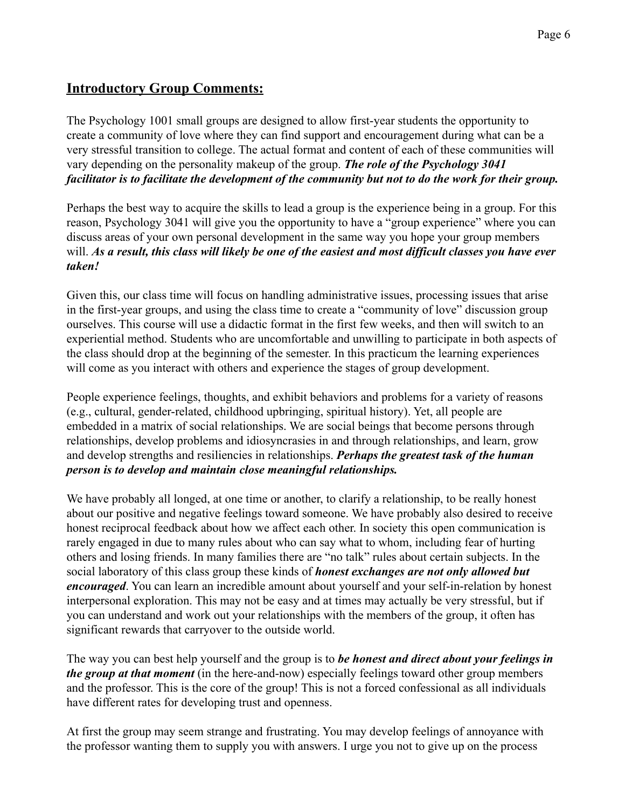#### **Introductory Group Comments:**

The Psychology 1001 small groups are designed to allow first-year students the opportunity to create a community of love where they can find support and encouragement during what can be a very stressful transition to college. The actual format and content of each of these communities will vary depending on the personality makeup of the group. *The role of the Psychology 3041 facilitator is to facilitate the development of the community but not to do the work for their group.*

Perhaps the best way to acquire the skills to lead a group is the experience being in a group. For this reason, Psychology 3041 will give you the opportunity to have a "group experience" where you can discuss areas of your own personal development in the same way you hope your group members will. *As a result, this class will likely be one of the easiest and most difficult classes you have ever taken!*

Given this, our class time will focus on handling administrative issues, processing issues that arise in the first-year groups, and using the class time to create a "community of love" discussion group ourselves. This course will use a didactic format in the first few weeks, and then will switch to an experiential method. Students who are uncomfortable and unwilling to participate in both aspects of the class should drop at the beginning of the semester. In this practicum the learning experiences will come as you interact with others and experience the stages of group development.

People experience feelings, thoughts, and exhibit behaviors and problems for a variety of reasons (e.g., cultural, gender-related, childhood upbringing, spiritual history). Yet, all people are embedded in a matrix of social relationships. We are social beings that become persons through relationships, develop problems and idiosyncrasies in and through relationships, and learn, grow and develop strengths and resiliencies in relationships. *Perhaps the greatest task of the human person is to develop and maintain close meaningful relationships.*

We have probably all longed, at one time or another, to clarify a relationship, to be really honest about our positive and negative feelings toward someone. We have probably also desired to receive honest reciprocal feedback about how we affect each other. In society this open communication is rarely engaged in due to many rules about who can say what to whom, including fear of hurting others and losing friends. In many families there are "no talk" rules about certain subjects. In the social laboratory of this class group these kinds of *honest exchanges are not only allowed but encouraged*. You can learn an incredible amount about yourself and your self-in-relation by honest interpersonal exploration. This may not be easy and at times may actually be very stressful, but if you can understand and work out your relationships with the members of the group, it often has significant rewards that carryover to the outside world.

The way you can best help yourself and the group is to *be honest and direct about your feelings in the group at that moment* (in the here-and-now) especially feelings toward other group members and the professor. This is the core of the group! This is not a forced confessional as all individuals have different rates for developing trust and openness.

At first the group may seem strange and frustrating. You may develop feelings of annoyance with the professor wanting them to supply you with answers. I urge you not to give up on the process